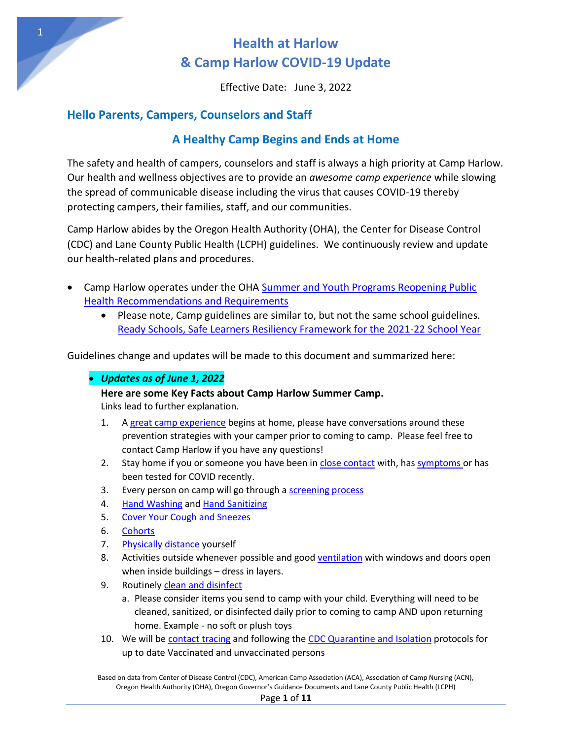Effective Date: June 3, 2022

### **Hello Parents, Campers, Counselors and Staff**

### **A Healthy Camp Begins and Ends at Home**

The safety and health of campers, counselors and staff is always a high priority at Camp Harlow. Our health and wellness objectives are to provide an *awesome camp experience* while slowing the spread of communicable disease including the virus that causes COVID-19 thereby protecting campers, their families, staff, and our communities.

Camp Harlow abides by the Oregon Health Authority (OHA), the Center for Disease Control (CDC) and Lane County Public Health (LCPH) guidelines. We continuously review and update our health-related plans and procedures.

- Camp Harlow operates under the OHA Summer and Youth Programs Reopening Public [Health Recommendations and Requirements](https://sharedsystems.dhsoha.state.or.us/DHSForms/Served/le2351p_R.pdf) 
	- Please note, Camp guidelines are similar to, but not the same school guidelines. [Ready Schools, Safe Learners Resiliency Framework for the 2021-22 School Year](https://www.oregon.gov/ode/students-and-family/healthsafety/Documents/Ready%20Schools%20Safe%20Learners%20Resiliency%20Framework%20for%20the%202021-22%20School%20Year.pdf)

Guidelines change and updates will be made to this document and summarized here:

### *Updates as of June 1, 2022*

#### **Here are some Key Facts about Camp Harlow Summer Camp.**

Links lead to further explanation.

- 1. A [great camp experience](#page-3-0) begins at home, please have conversations around these prevention strategies with your camper prior to coming to camp. Please feel free to contact Camp Harlow if you have any questions!
- 2. Stay home if you or someone you have been i[n close contact w](#page-6-0)ith, ha[s symptoms](#page-4-0) or has been tested for COVID recently.
- 3. Every person on camp will go through [a screening process](#page-6-1)
- 4. [Hand Washing a](#page-5-0)nd [Hand Sanitizing](#page-5-1)
- 5. [Cover Your Cough and Sneezes](#page-5-2)
- 6. [Cohorts](#page-8-0)
- 7. [Physically distance](#page-8-1) yourself
- 8. Activities outside whenever possible and good [ventilation](#page-5-3) with windows and doors open when inside buildings – dress in layers.
- 9. Routinely clean and disinfect
	- a. Please consider items you send to camp with your child. Everything will need to be cleaned, sanitized, or disinfected daily prior to coming to camp AND upon returning home. Example - no soft or plush toys
- 10. We will be [contact tracing](#page-9-0) and following the [CDC Quarantine and Isolation](#page-9-1) protocols for up to date Vaccinated and unvaccinated persons

Based on data from Center of Disease Control (CDC), American Camp Association (ACA), Association of Camp Nursing (ACN), Oregon Health Authority (OHA), Oregon Governor's Guidance Documents and Lane County Public Health (LCPH)

#### Page **1** of **11**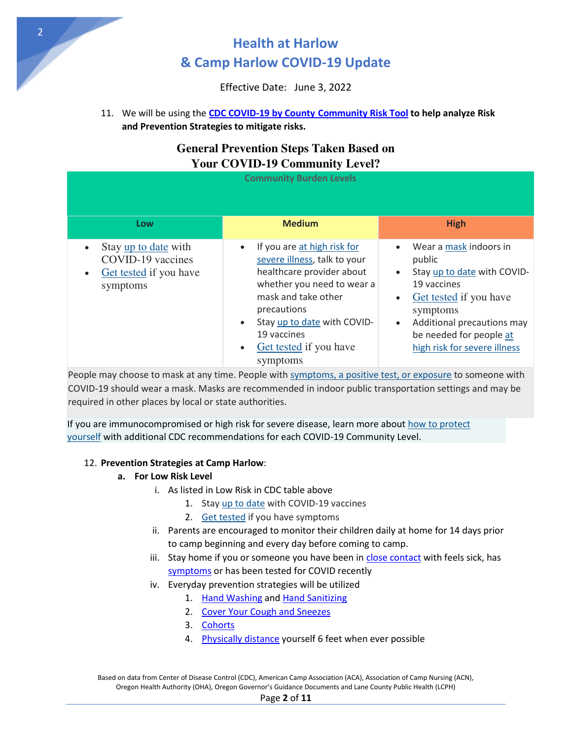Effective Date: June 3, 2022

11. We will be using the **CDC COVID-19 by County [Community Risk Tool](https://www.cdc.gov/coronavirus/2019-ncov/your-health/covid-by-county.html) to help analyze Risk and Prevention Strategies to mitigate risks.** 

### **General Prevention Steps Taken Based on Your COVID-19 Community Level?**

| <b>Community Burden Levels</b>                                                               |                                                                                                                                                                                                                                                               |                                                                                                                                                                                                                                         |
|----------------------------------------------------------------------------------------------|---------------------------------------------------------------------------------------------------------------------------------------------------------------------------------------------------------------------------------------------------------------|-----------------------------------------------------------------------------------------------------------------------------------------------------------------------------------------------------------------------------------------|
| Low                                                                                          | <b>Medium</b>                                                                                                                                                                                                                                                 | <b>High</b>                                                                                                                                                                                                                             |
| Stay up to date with<br>COVID-19 vaccines<br>Get tested if you have<br>$\bullet$<br>symptoms | If you are at high risk for<br>severe illness, talk to your<br>healthcare provider about<br>whether you need to wear a<br>mask and take other<br>precautions<br>Stay up to date with COVID-<br>19 vaccines<br>Get tested if you have<br>$\bullet$<br>symptoms | Wear a mask indoors in<br>public<br>Stay up to date with COVID-<br>19 vaccines<br>Get tested if you have<br>$\bullet$<br>symptoms<br>Additional precautions may<br>$\bullet$<br>be needed for people at<br>high risk for severe illness |

People may choose to mask at any time. People with [symptoms, a positive test, or exposure](https://www.cdc.gov/coronavirus/2019-ncov/your-health/quarantine-isolation.html) to someone with COVID-19 should wear a mask. Masks are recommended in indoor public transportation settings and may be required in other places by local or state authorities.

If you are immunocompromised or high risk for severe disease, learn more about how to protect [yourself](https://www.cdc.gov/coronavirus/2019-ncov/science/community-levels.html#anchor_47145) with additional CDC recommendations for each COVID-19 Community Level.

#### 12. **Prevention Strategies at Camp Harlow**:

#### **a. For Low Risk Level**

- <span id="page-1-0"></span>i. As listed in Low Risk in CDC table above
	- 1. Sta[y up to date](https://www.cdc.gov/coronavirus/2019-ncov/vaccines/stay-up-to-date.html) with COVID-19 vaccines
	- 2. [Get tested](https://www.cdc.gov/coronavirus/2019-ncov/testing/diagnostic-testing.html) if you have symptoms
- ii. Parents are encouraged to monitor their children daily at home for 14 days prior to camp beginning and every day before coming to camp.
- iii. Stay home if you or someone you have been in [close contact](#page-6-0) with feels sick, has [symptoms](#page-4-0) or has been tested for COVID recently
- iv. Everyday prevention strategies will be utilized
	- 1. [Hand Washing](#page-5-0) an[d Hand Sanitizing](#page-5-1)
	- 2. [Cover Your Cough and Sneezes](#page-5-2)
	- 3. [Cohorts](#page-8-0)
	- 4. [Physically distance](#page-8-1) yourself 6 feet when ever possible

Based on data from Center of Disease Control (CDC), American Camp Association (ACA), Association of Camp Nursing (ACN), Oregon Health Authority (OHA), Oregon Governor's Guidance Documents and Lane County Public Health (LCPH)

2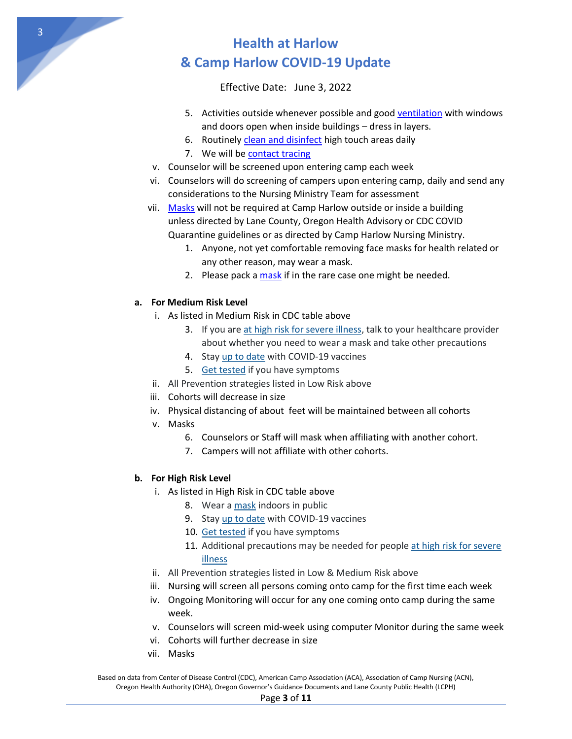Effective Date: June 3, 2022

- 5. Activities outside whenever possible and goo[d ventilation](#page-5-3) with windows and doors open when inside buildings – dress in layers.
- 6. Routinely [clean and disinfect](#page-5-4) high touch areas daily
- 7. We will b[e contact tracing](#page-9-0)
- v. Counselor will be screened upon entering camp each week
- vi. Counselors will do screening of campers upon entering camp, daily and send any considerations to the Nursing Ministry Team for assessment
- vii. [Masks w](#page-8-2)ill not be required at Camp Harlow outside or inside a building unless directed by Lane County, Oregon Health Advisory or CDC COVID Quarantine guidelines or as directed by Camp Harlow Nursing Ministry.
	- 1. Anyone, not yet comfortable removing face masks for health related or any other reason, may wear a mask.
	- 2. Please pack a [mask](#page-8-2) if in the rare case one might be needed.

#### **a. For Medium Risk Level**

- i. As listed in Medium Risk in CDC table above
	- 3. If you ar[e at high risk for severe illness,](https://www.cdc.gov/coronavirus/2019-ncov/science/community-levels.html#anchor_47145) talk to your healthcare provider about whether you need to wear a mask and take other precautions
	- 4. Sta[y up to date](https://www.cdc.gov/coronavirus/2019-ncov/vaccines/stay-up-to-date.html) with COVID-19 vaccines
	- 5. [Get tested](https://www.cdc.gov/coronavirus/2019-ncov/testing/diagnostic-testing.html) if you have symptoms
- ii. All Prevention strategies listed in Low Risk above
- iii. Cohorts will decrease in size
- iv. Physical distancing of about feet will be maintained between all cohorts
- v. Masks
	- 6. Counselors or Staff will mask when affiliating with another cohort.
	- 7. Campers will not affiliate with other cohorts.

#### **b. For High Risk Level**

- i. As listed in High Risk in CDC table above
	- 8. Wear [a mask](https://www.cdc.gov/coronavirus/2019-ncov/prevent-getting-sick/about-face-coverings.html) indoors in public
	- 9. Sta[y up to date](https://www.cdc.gov/coronavirus/2019-ncov/vaccines/stay-up-to-date.html) with COVID-19 vaccines
	- 10. [Get tested](https://www.cdc.gov/coronavirus/2019-ncov/testing/diagnostic-testing.html) if you have symptoms
	- 11. Additional precautions may be needed for people [at high risk for severe](https://www.cdc.gov/coronavirus/2019-ncov/science/community-levels.html#anchor_47145)  [illness](https://www.cdc.gov/coronavirus/2019-ncov/science/community-levels.html#anchor_47145)
- ii. All Prevention strategies listed in Low & Medium Risk above
- iii. Nursing will screen all persons coming onto camp for the first time each week
- iv. Ongoing Monitoring will occur for any one coming onto camp during the same week.
- v. Counselors will screen mid-week using computer Monitor during the same week
- vi. Cohorts will further decrease in size
- vii. Masks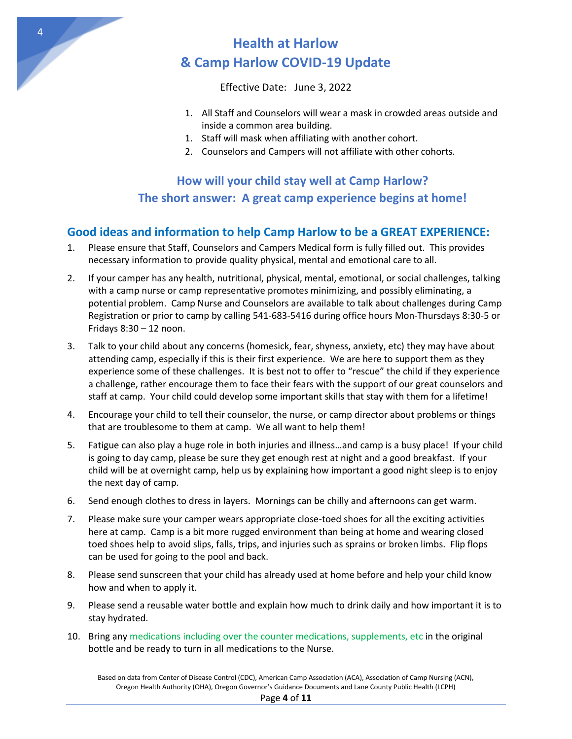

Effective Date: June 3, 2022

- 1. All Staff and Counselors will wear a mask in crowded areas outside and inside a common area building.
- 1. Staff will mask when affiliating with another cohort.
- <span id="page-3-0"></span>2. Counselors and Campers will not affiliate with other cohorts.

## **How will your child stay well at Camp Harlow? The short answer: A great camp experience begins at home!**

## **Good ideas and information to help Camp Harlow to be a GREAT EXPERIENCE:**

- 1. Please ensure that Staff, Counselors and Campers Medical form is fully filled out. This provides necessary information to provide quality physical, mental and emotional care to all.
- 2. If your camper has any health, nutritional, physical, mental, emotional, or social challenges, talking with a camp nurse or camp representative promotes minimizing, and possibly eliminating, a potential problem. Camp Nurse and Counselors are available to talk about challenges during Camp Registration or prior to camp by calling 541-683-5416 during office hours Mon-Thursdays 8:30-5 or Fridays 8:30 – 12 noon.
- 3. Talk to your child about any concerns (homesick, fear, shyness, anxiety, etc) they may have about attending camp, especially if this is their first experience. We are here to support them as they experience some of these challenges. It is best not to offer to "rescue" the child if they experience a challenge, rather encourage them to face their fears with the support of our great counselors and staff at camp. Your child could develop some important skills that stay with them for a lifetime!
- 4. Encourage your child to tell their counselor, the nurse, or camp director about problems or things that are troublesome to them at camp. We all want to help them!
- 5. Fatigue can also play a huge role in both injuries and illness…and camp is a busy place! If your child is going to day camp, please be sure they get enough rest at night and a good breakfast. If your child will be at overnight camp, help us by explaining how important a good night sleep is to enjoy the next day of camp.
- 6. Send enough clothes to dress in layers. Mornings can be chilly and afternoons can get warm.
- 7. Please make sure your camper wears appropriate close-toed shoes for all the exciting activities here at camp. Camp is a bit more rugged environment than being at home and wearing closed toed shoes help to avoid slips, falls, trips, and injuries such as sprains or broken limbs. Flip flops can be used for going to the pool and back.
- 8. Please send sunscreen that your child has already used at home before and help your child know how and when to apply it.
- 9. Please send a reusable water bottle and explain how much to drink daily and how important it is to stay hydrated.
- 10. Bring any medications including over the counter medications, supplements, etc in the original bottle and be ready to turn in all medications to the Nurse.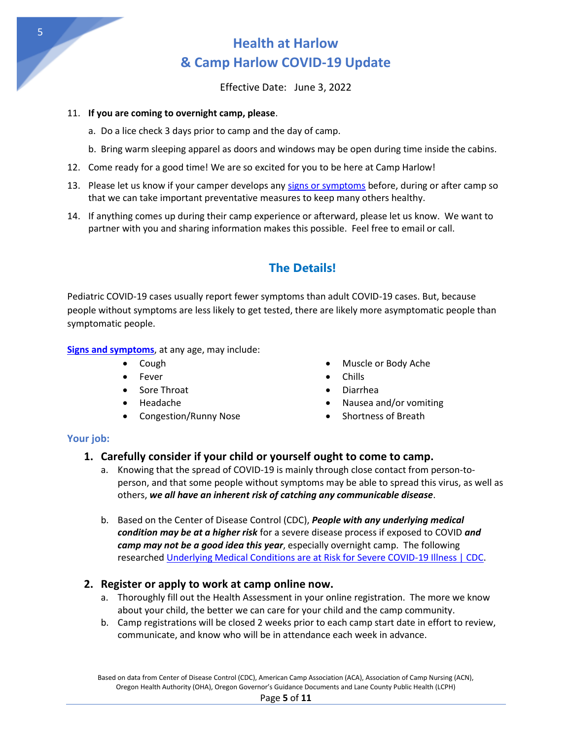

Effective Date: June 3, 2022

#### 11. **If you are coming to overnight camp, please**.

- a. Do a lice check 3 days prior to camp and the day of camp.
- b. Bring warm sleeping apparel as doors and windows may be open during time inside the cabins.
- 12. Come ready for a good time! We are so excited for you to be here at Camp Harlow!
- 13. Please let us know if your camper develops any [signs or symptoms](#page-4-0) before, during or after camp so that we can take important preventative measures to keep many others healthy.
- 14. If anything comes up during their camp experience or afterward, please let us know. We want to partner with you and sharing information makes this possible. Feel free to email or call.

## **The Details!**

Pediatric COVID-19 cases usually report fewer symptoms than adult COVID-19 cases. But, because people without symptoms are less likely to get tested, there are likely more asymptomatic people than symptomatic people.

#### <span id="page-4-0"></span>**[Signs and symptoms](https://www.cdc.gov/coronavirus/2019-ncov/symptoms-testing/symptoms.html)**, at any age, may include:

- 
- 
- 
- 
- Congestion/Runny Nose **•** Shortness of Breath
- Cough **Cough Cough Cough Cough Cough Cough Cough Cough Cough Ache**
- Fever **Chills**
- Sore Throat **Diarrhea**
- Headache **International Community Nausea and/or vomiting** 
	-

#### **Your job:**

### **1. Carefully consider if your child or yourself ought to come to camp.**

- a. Knowing that the spread of COVID-19 is mainly through close contact from person-toperson, and that some people without symptoms may be able to spread this virus, as well as others, *we all have an inherent risk of catching any communicable disease*.
- b. Based on the Center of Disease Control (CDC), *People with any underlying medical condition may be at a higher risk* for a severe disease process if exposed to COVID *and camp may not be a good idea this year*, especially overnight camp. The following researched [Underlying Medical Conditions are at Risk for Severe COVID-19 Illness | CDC.](https://www.cdc.gov/coronavirus/2019-ncov/need-extra-precautions/people-with-medical-conditions.html?CDC_AA_refVal=https%3A%2F%2Fwww.cdc.gov%2Fcoronavirus%2F2019-ncov%2Fneed-extra-precautions%2Fgroups-at-higher-risk.html#children-underlying-conditions)

### **2. Register or apply to work at camp online now.**

- a. Thoroughly fill out the Health Assessment in your online registration. The more we know about your child, the better we can care for your child and the camp community.
- b. Camp registrations will be closed 2 weeks prior to each camp start date in effort to review, communicate, and know who will be in attendance each week in advance.

Based on data from Center of Disease Control (CDC), American Camp Association (ACA), Association of Camp Nursing (ACN), Oregon Health Authority (OHA), Oregon Governor's Guidance Documents and Lane County Public Health (LCPH)

5

#### Page **5** of **11**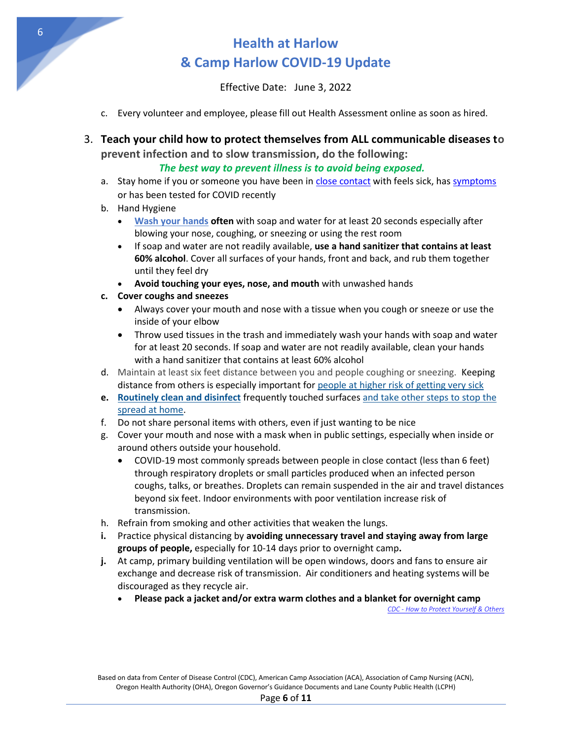Effective Date: June 3, 2022

- c. Every volunteer and employee, please fill out Health Assessment online as soon as hired.
- 3. **Teach your child how to protect themselves from ALL communicable diseases to prevent infection and to slow transmission, do the following:**

#### <span id="page-5-1"></span> *The best way to prevent illness is to avoid being exposed.*

- a. Stay home if you or someone you have been in [close contact](#page-6-0) with feels sick, has [symptoms](#page-4-0) or has been tested for COVID recently
- <span id="page-5-0"></span>b. Hand Hygiene
	- **[Wash your hands](https://www.cdc.gov/handwashing/when-how-handwashing.html) often** with soap and water for at least 20 seconds especially after blowing your nose, coughing, or sneezing or using the rest room
	- If soap and water are not readily available, **use a hand sanitizer that contains at least 60% alcohol**. Cover all surfaces of your hands, front and back, and rub them together until they feel dry
	- **Avoid touching your eyes, nose, and mouth** with unwashed hands
- <span id="page-5-2"></span>**c. Cover coughs and sneezes** 
	- Always cover your mouth and nose with a tissue when you cough or sneeze or use the inside of your elbow
	- Throw used tissues in the trash and immediately wash your hands with soap and water for at least 20 seconds. If soap and water are not readily available, clean your hands with a hand sanitizer that contains at least 60% alcohol
- d. Maintain at least six feet distance between you and people coughing or sneezing. Keeping distance from others is especially important for [people at higher risk of getting very sick](https://www.cdc.gov/coronavirus/2019-ncov/need-extra-precautions/people-with-medical-conditions.html)
- <span id="page-5-4"></span>**e. [Routinely clean and disinfect](https://www.cdc.gov/coronavirus/2019-ncov/prevent-getting-sick/disinfecting-your-home.html)** frequently touched surfaces [and take other steps to stop the](https://www.cdc.gov/coronavirus/2019-ncov/prevent-getting-sick/protect-your-home.html)  [spread at home.](https://www.cdc.gov/coronavirus/2019-ncov/prevent-getting-sick/protect-your-home.html)
- f. Do not share personal items with others, even if just wanting to be nice
- g. Cover your mouth and nose with a mask when in public settings, especially when inside or around others outside your household.
	- COVID-19 most commonly spreads between people in close contact (less than 6 feet) through respiratory droplets or small particles produced when an infected person coughs, talks, or breathes. Droplets can remain suspended in the air and travel distances beyond six feet. Indoor environments with poor ventilation increase risk of transmission.
- h. Refrain from smoking and other activities that weaken the lungs.
- **i.** Practice physical distancing by **avoiding unnecessary travel and staying away from large groups of people,** especially for 10-14 days prior to overnight camp**.**
- <span id="page-5-3"></span>**j.** At camp, primary building ventilation will be open windows, doors and fans to ensure air exchange and decrease risk of transmission. Air conditioners and heating systems will be discouraged as they recycle air.
	- **Please pack a jacket and/or extra warm clothes and a blanket for overnight camp**

*[CDC - How to Protect Yourself & Others](https://www.cdc.gov/coronavirus/2019-ncov/prevent-getting-sick/prevention.html)*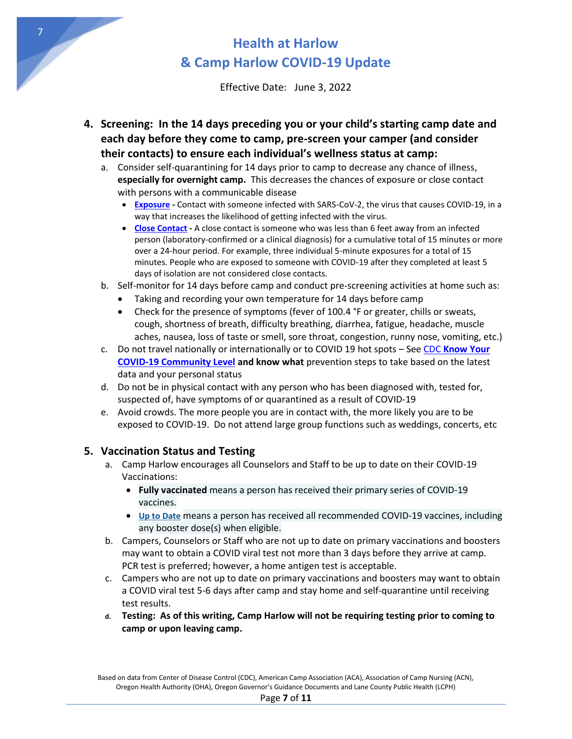Effective Date: June 3, 2022

- <span id="page-6-1"></span><span id="page-6-0"></span>**4. Screening: In the 14 days preceding you or your child's starting camp date and each day before they come to camp, pre-screen your camper (and consider their contacts) to ensure each individual's wellness status at camp:** 
	- a. Consider self-quarantining for 14 days prior to camp to decrease any chance of illness, **especially for overnight camp.** This decreases the chances of exposure or close contact with persons with a communicable disease
		- **[Exposure](https://www.cdc.gov/coronavirus/2019-ncov/your-health/quarantine-isolation.html)** Contact with someone infected with SARS-CoV-2, the virus that causes COVID-19, in a way that increases the likelihood of getting infected with the virus.
		- **[Close Contact -](https://www.cdc.gov/coronavirus/2019-ncov/daily-life-coping/determine-close-contacts.html)** A close contact is someone who was less than 6 feet away from an infected person (laboratory-confirmed or a clinical diagnosis) for a cumulative total of 15 minutes or more over a 24-hour period. For example, three individual 5-minute exposures for a total of 15 minutes. People who are exposed to someone with COVID-19 after they completed at least 5 days of isolation are not considered close contacts.
	- b. Self-monitor for 14 days before camp and conduct pre-screening activities at home such as:
		- Taking and recording your own temperature for 14 days before camp
		- Check for the presence of symptoms (fever of 100.4 °F or greater, chills or sweats, cough, shortness of breath, difficulty breathing, diarrhea, fatigue, headache, muscle aches, nausea, loss of taste or smell, sore throat, congestion, runny nose, vomiting, etc.)
	- c. Do not travel nationally or internationally or to COVID 19 hot spots See CDC **[Know Your](https://www.cdc.gov/coronavirus/2019-ncov/your-health/covid-by-county.html)  [COVID-19 Community Level](https://www.cdc.gov/coronavirus/2019-ncov/your-health/covid-by-county.html) and know what** prevention steps to take based on the latest data and your personal status
	- d. Do not be in physical contact with any person who has been diagnosed with, tested for, suspected of, have symptoms of or quarantined as a result of COVID-19
	- e. Avoid crowds. The more people you are in contact with, the more likely you are to be exposed to COVID-19. Do not attend large group functions such as weddings, concerts, etc

### **5. Vaccination Status and Testing**

- a. Camp Harlow encourages all Counselors and Staff to be up to date on their COVID-19 Vaccinations:
	- **Fully vaccinated** means a person has received their primary series of COVID-19 vaccines.
	- **[Up to Date](https://www.cdc.gov/coronavirus/2019-ncov/vaccines/stay-up-to-date.html)** means a person has received all recommended COVID-19 vaccines, including any booster dose(s) when eligible.
- b. Campers, Counselors or Staff who are not up to date on primary vaccinations and boosters may want to obtain a COVID viral test not more than 3 days before they arrive at camp. PCR test is preferred; however, a home antigen test is acceptable.
- c. Campers who are not up to date on primary vaccinations and boosters may want to obtain a COVID viral test 5-6 days after camp and stay home and self-quarantine until receiving test results.
- **d. Testing: As of this writing, Camp Harlow will not be requiring testing prior to coming to camp or upon leaving camp.**

7

Based on data from Center of Disease Control (CDC), American Camp Association (ACA), Association of Camp Nursing (ACN), Oregon Health Authority (OHA), Oregon Governor's Guidance Documents and Lane County Public Health (LCPH)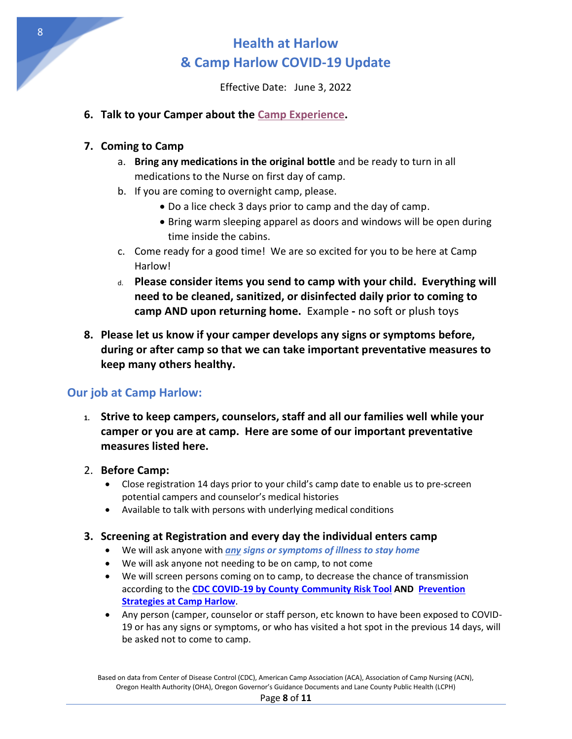Effective Date: June 3, 2022

### **6. Talk to your Camper about the [Camp Experience.](#page-3-0)**

#### **7. Coming to Camp**

- a. **Bring any medications in the original bottle** and be ready to turn in all medications to the Nurse on first day of camp.
- b. If you are coming to overnight camp, please.
	- Do a lice check 3 days prior to camp and the day of camp.
	- Bring warm sleeping apparel as doors and windows will be open during time inside the cabins.
- c. Come ready for a good time! We are so excited for you to be here at Camp Harlow!
- d. **Please consider items you send to camp with your child. Everything will need to be cleaned, sanitized, or disinfected daily prior to coming to camp AND upon returning home.** Example **-** no soft or plush toys
- **8. Please let us know if your camper develops any signs or symptoms before, during or after camp so that we can take important preventative measures to keep many others healthy.**

### **Our job at Camp Harlow:**

- **1. Strive to keep campers, counselors, staff and all our families well while your camper or you are at camp. Here are some of our important preventative measures listed here.**
- 2. **Before Camp:**
	- Close registration 14 days prior to your child's camp date to enable us to pre-screen potential campers and counselor's medical histories
	- Available to talk with persons with underlying medical conditions
- **3. Screening at Registration and every day the individual enters camp** 
	- We will ask anyone with *any signs or symptoms of illness to stay home*
	- We will ask anyone not needing to be on camp, to not come
	- We will screen persons coming on to camp, to decrease the chance of transmission according to the **CDC COVID-19 by County [Community Risk Tool](https://www.cdc.gov/coronavirus/2019-ncov/your-health/covid-by-county.html) AND [Prevention](#page-1-0)  [Strategies at Camp Harlow](#page-1-0)**.
	- Any person (camper, counselor or staff person, etc known to have been exposed to COVID-19 or has any signs or symptoms, or who has visited a hot spot in the previous 14 days, will be asked not to come to camp.

Based on data from Center of Disease Control (CDC), American Camp Association (ACA), Association of Camp Nursing (ACN), Oregon Health Authority (OHA), Oregon Governor's Guidance Documents and Lane County Public Health (LCPH)

#### Page **8** of **11**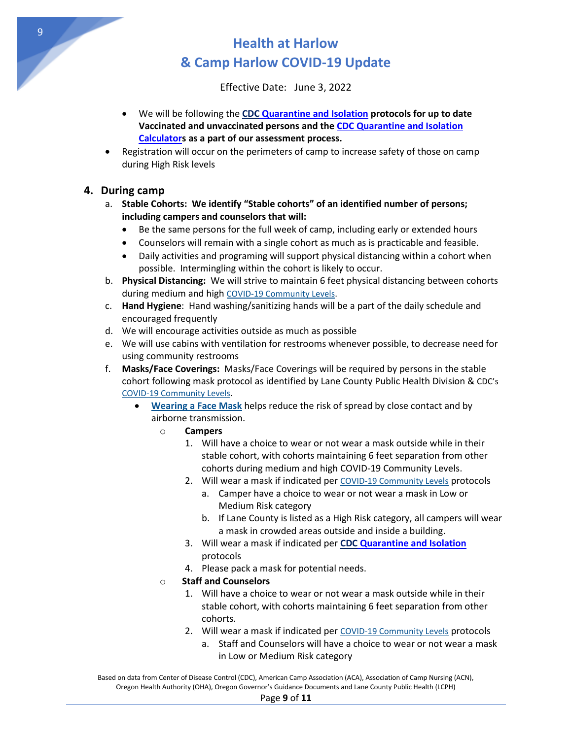Effective Date: June 3, 2022

- We will be following the **CDC [Quarantine and Isolation](https://www.cdc.gov/coronavirus/2019-ncov/your-health/quarantine-isolation.html) protocols for up to date Vaccinated and unvaccinated persons and th[e CDC Quarantine and Isolation](https://www.cdc.gov/coronavirus/2019-ncov/your-health/quarantine-isolation.html)  [Calculators](https://www.cdc.gov/coronavirus/2019-ncov/your-health/quarantine-isolation.html) as a part of our assessment process.**
- Registration will occur on the perimeters of camp to increase safety of those on camp during High Risk levels

### **4. During camp**

- <span id="page-8-0"></span>a. **Stable Cohorts: We identify "Stable cohorts" of an identified number of persons; including campers and counselors that will:**
	- Be the same persons for the full week of camp, including early or extended hours
	- Counselors will remain with a single cohort as much as is practicable and feasible.
	- Daily activities and programing will support physical distancing within a cohort when possible. Intermingling within the cohort is likely to occur.
- <span id="page-8-1"></span>b. **Physical Distancing:** We will strive to maintain 6 feet physical distancing between cohorts during medium and high [COVID-19 Community Levels.](https://www.cdc.gov/coronavirus/2019-ncov/your-health/covid-by-county.html)
- c. **Hand Hygiene**: Hand washing/sanitizing hands will be a part of the daily schedule and encouraged frequently
- d. We will encourage activities outside as much as possible
- e. We will use cabins with ventilation for restrooms whenever possible, to decrease need for using community restrooms
- <span id="page-8-2"></span>f. **Masks/Face Coverings:** Masks/Face Coverings will be required by persons in the stable cohort following mask protocol as identified by Lane County Public Health Division & CDC's [COVID-19 Community Levels.](https://www.cdc.gov/coronavirus/2019-ncov/your-health/covid-by-county.html)
	- **[Wearing a Face Mask](https://www.cdc.gov/coronavirus/2019-ncov/prevent-getting-sick/about-face-coverings.html)** helps reduce the risk of spread by close contact and by airborne transmission.
		- o **Campers** 
			- 1. Will have a choice to wear or not wear a mask outside while in their stable cohort, with cohorts maintaining 6 feet separation from other cohorts during medium and high COVID-19 Community Levels.
			- 2. Will wear a mask if indicated per [COVID-19 Community Levels](https://www.cdc.gov/coronavirus/2019-ncov/your-health/covid-by-county.html) protocols
				- a. Camper have a choice to wear or not wear a mask in Low or Medium Risk category
				- b. If Lane County is listed as a High Risk category, all campers will wear a mask in crowded areas outside and inside a building.
			- 3. Will wear a mask if indicated per **CDC [Quarantine and Isolation](https://www.cdc.gov/coronavirus/2019-ncov/your-health/quarantine-isolation.html)** protocols
			- 4. Please pack a mask for potential needs.

### o **Staff and Counselors**

- 1. Will have a choice to wear or not wear a mask outside while in their stable cohort, with cohorts maintaining 6 feet separation from other cohorts.
- 2. Will wear a mask if indicated per [COVID-19 Community Levels](https://www.cdc.gov/coronavirus/2019-ncov/your-health/covid-by-county.html) protocols
	- a. Staff and Counselors will have a choice to wear or not wear a mask in Low or Medium Risk category

Based on data from Center of Disease Control (CDC), American Camp Association (ACA), Association of Camp Nursing (ACN), Oregon Health Authority (OHA), Oregon Governor's Guidance Documents and Lane County Public Health (LCPH)

#### Page **9** of **11**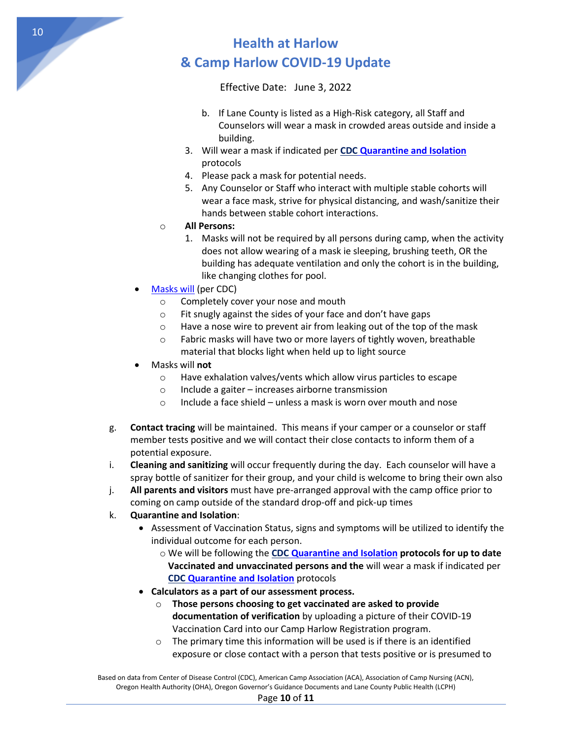Effective Date: June 3, 2022

- b. If Lane County is listed as a High-Risk category, all Staff and Counselors will wear a mask in crowded areas outside and inside a building.
- 3. Will wear a mask if indicated per **CDC [Quarantine and Isolation](https://www.cdc.gov/coronavirus/2019-ncov/your-health/quarantine-isolation.html)** protocols
- 4. Please pack a mask for potential needs.
- 5. Any Counselor or Staff who interact with multiple stable cohorts will wear a face mask, strive for physical distancing, and wash/sanitize their hands between stable cohort interactions.
- o **All Persons:** 
	- 1. Masks will not be required by all persons during camp, when the activity does not allow wearing of a mask ie sleeping, brushing teeth, OR the building has adequate ventilation and only the cohort is in the building, like changing clothes for pool.
- [Masks will](https://www.cdc.gov/coronavirus/2019-ncov/prevent-getting-sick/types-of-masks.html) (per CDC)
	- o Completely cover your nose and mouth
	- o Fit snugly against the sides of your face and don't have gaps
	- o Have a nose wire to prevent air from leaking out of the top of the mask
	- o Fabric masks will have two or more layers of tightly woven, breathable material that blocks light when held up to light source
- Masks will **not**
	- o Have exhalation valves/vents which allow virus particles to escape
	- o Include a gaiter increases airborne transmission
	- o Include a face shield unless a mask is worn over mouth and nose
- <span id="page-9-0"></span>g. **Contact tracing** will be maintained. This means if your camper or a counselor or staff member tests positive and we will contact their close contacts to inform them of a potential exposure.
- i. **Cleaning and sanitizing** will occur frequently during the day. Each counselor will have a spray bottle of sanitizer for their group, and your child is welcome to bring their own also
- j. **All parents and visitors** must have pre-arranged approval with the camp office prior to coming on camp outside of the standard drop-off and pick-up times
- <span id="page-9-1"></span>k. **Quarantine and Isolation**:
	- Assessment of Vaccination Status, signs and symptoms will be utilized to identify the individual outcome for each person.
		- o We will be following the **CDC [Quarantine and Isolation](https://www.cdc.gov/coronavirus/2019-ncov/your-health/quarantine-isolation.html) protocols for up to date Vaccinated and unvaccinated persons and the** will wear a mask if indicated per **CDC [Quarantine and Isolation](https://www.cdc.gov/coronavirus/2019-ncov/your-health/quarantine-isolation.html)** protocols
	- **Calculators as a part of our assessment process.** 
		- o **Those persons choosing to get vaccinated are asked to provide documentation of verification** by uploading a picture of their COVID-19 Vaccination Card into our Camp Harlow Registration program.
		- o The primary time this information will be used is if there is an identified exposure or close contact with a person that tests positive or is presumed to